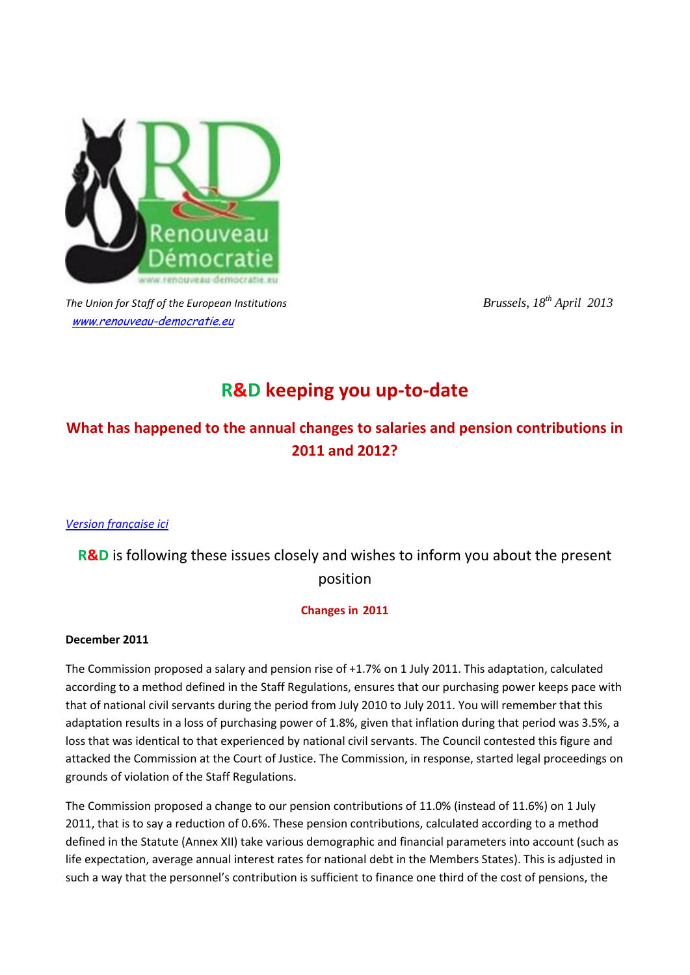

*The Union for Staff of the European Institutions <i>Brussels, 18<sup>th</sup> April 2013* [www.renouveau-democratie.eu](http://www.renouveau-democratie.eu/)

# **R&D keeping you up-to-date**

## **What has happened to the annual changes to salaries and pension contributions in 2011 and 2012?**

## *[Version française ici](http://www.renouveau-democratie.eu/wp-content/uploads/2013/04/Adaptations-annuelles-2011-2012.pdf)*

## **R&D** is following these issues closely and wishes to inform you about the present position

## **Changes in 2011**

## **December 2011**

The Commission proposed a salary and pension rise of +1.7% on 1 July 2011. This adaptation, calculated according to a method defined in the Staff Regulations, ensures that our purchasing power keeps pace with that of national civil servants during the period from July 2010 to July 2011. You will remember that this adaptation results in a loss of purchasing power of 1.8%, given that inflation during that period was 3.5%, a loss that was identical to that experienced by national civil servants. The Council contested this figure and attacked the Commission at the Court of Justice. The Commission, in response, started legal proceedings on grounds of violation of the Staff Regulations.

The Commission proposed a change to our pension contributions of 11.0% (instead of 11.6%) on 1 July 2011, that is to say a reduction of 0.6%. These pension contributions, calculated according to a method defined in the Statute (Annex XII) take various demographic and financial parameters into account (such as life expectation, average annual interest rates for national debt in the Members States). This is adjusted in such a way that the personnel's contribution is sufficient to finance one third of the cost of pensions, the